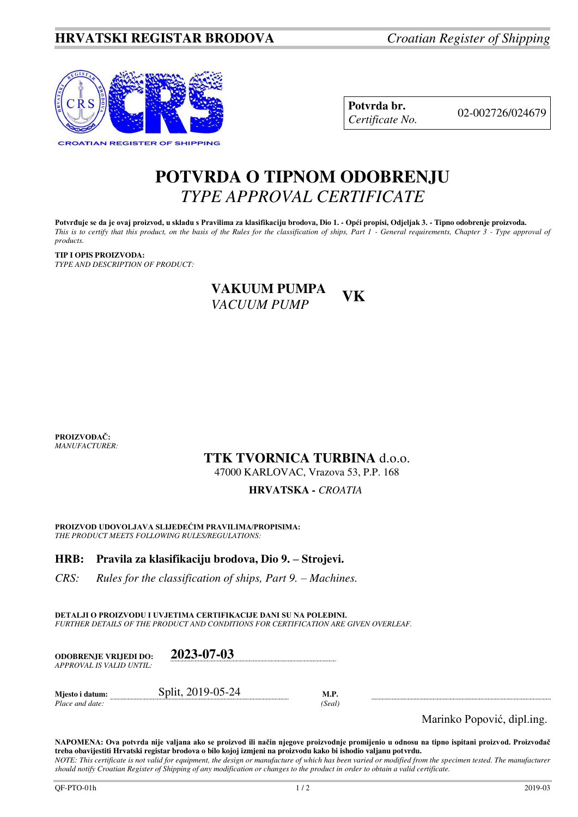

**Potvrda br.** 02-002726/024679 *Certificate No.* 

## **POTVRDA O TIPNOM ODOBRENJU**  *TYPE APPROVAL CERTIFICATE*

**Potvrđuje se da je ovaj proizvod, u skladu s Pravilima za klasifikaciju brodova, Dio 1. - Opći propisi, Odjeljak 3. - Tipno odobrenje proizvoda.**  *This is to certify that this product, on the basis of the Rules for the classification of ships, Part 1 - General requirements, Chapter 3 - Type approval of products.* 

**TIP I OPIS PROIZVODA:** *TYPE AND DESCRIPTION OF PRODUCT:* 



**PROIZVOĐAČ:** *MANUFACTURER:*

## **TTK TVORNICA TURBINA** d.o.o.

47000 KARLOVAC, Vrazova 53, P.P. 168

**HRVATSKA** *- CROATIA*

**PROIZVOD UDOVOLJAVA SLIJEDEĆIM PRAVILIMA/PROPISIMA:** *THE PRODUCT MEETS FOLLOWING RULES/REGULATIONS:* 

## **HRB: Pravila za klasifikaciju brodova, Dio 9. – Strojevi.**

*CRS: Rules for the classification of ships, Part 9. – Machines.* 

**DETALJI O PROIZVODU I UVJETIMA CERTIFIKACIJE DANI SU NA POLEĐINI.** *FURTHER DETAILS OF THE PRODUCT AND CONDITIONS FOR CERTIFICATION ARE GIVEN OVERLEAF.* 

| <b>ODOBRENJE VRLJEDI DO:</b><br>APPROVAL IS VALID UNTIL: | 2023-07-03        |                |  |
|----------------------------------------------------------|-------------------|----------------|--|
| Mjesto i datum:<br>Place and date:                       | Split, 2019-05-24 | M.P.<br>(Seal) |  |

Marinko Popović, dipl.ing.

**NAPOMENA: Ova potvrda nije valjana ako se proizvod ili način njegove proizvodnje promijenio u odnosu na tipno ispitani proizvod. Proizvođač treba obavijestiti Hrvatski registar brodova o bilo kojoj izmjeni na proizvodu kako bi ishodio valjanu potvrdu.** 

*NOTE: This certificate is not valid for equipment, the design or manufacture of which has been varied or modified from the specimen tested. The manufacturer should notify Croatian Register of Shipping of any modification or changes to the product in order to obtain a valid certificate.*